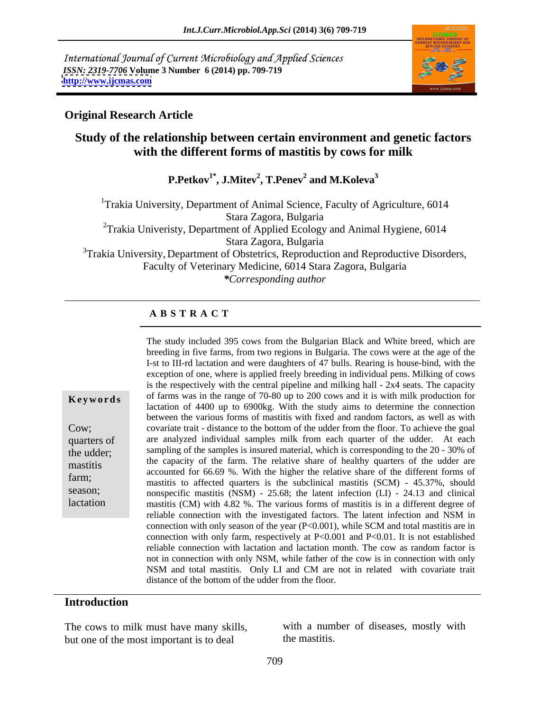International Journal of Current Microbiology and Applied Sciences *ISSN: 2319-7706* **Volume 3 Number 6 (2014) pp. 709-719 <http://www.ijcmas.com>**



### **Original Research Article**

### **Study of the relationship between certain environment and genetic factors with the different forms of mastitis by cows for milk**

 $\mathbf{P}.\mathbf{Petkov}^\mathbf{1*}, \mathbf{J}.\mathbf{Mitev}^\mathbf{2} , \mathbf{T}.\mathbf{Penev}^\mathbf{2}$  and  $\mathbf{M}.\mathbf{Koleva}^\mathbf{3}$  **and M.Koleva3**

<sup>1</sup>Trakia University, Department of Animal Science, Faculty of Agriculture, 6014 Stara Zagora, Bulgaria <sup>2</sup>Trakia Univeristy, Department of Applied Ecology and Animal Hygiene, 6014 Stara Zagora, Bulgaria <sup>3</sup>Trakia University, Department of Obstetrics, Reproduction and Reproductive Disorders, Faculty of Veterinary Medicine, 6014 Stara Zagora, Bulgaria *\*Corresponding author*

#### **A B S T R A C T**

**Keywords** of farms was in the range of 70-80 up to 200 cows and it is with milk production for Cow; covariate trait - distance to the bottom of the udder from the floor. To achieve the goal quarters of are analyzed individual samples milk from each quarter of the udder. At each the udder; sampling of the samples is insured material, which is corresponding to the 20 - 30% of mastitis the capacity of the farm. The relative share of healthy quarters of the udder are<br>exactly accounted for  $66,60$  %. With the higher the relative share of the different forms of farm;<br>mastitis to affected quarters is the subclinical mastitis (SCM) - 45.37%, should season;<br>
nonspecific mastitis (NSM) - 25.68; the latent infection (LI) - 24.13 and clinical lactation mastitis (CM) with 4.82 %. The various forms of mastitis is in a different degree of The study included 395 cows from the Bulgarian Black and White breed, which are breeding in five farms, from two regions in Bulgaria. The cows were at the age of the I-st to III-rd lactation and were daughters of 47 bulls. Rearing is house-bind, with the exception of one, where is applied freely breeding in individual pens. Milking of cows is the respectively with the central pipeline and milking hall - 2x4 seats. The capacity lactation of 4400 up to 6900kg. With the study aims to determine the connection between the various forms of mastitis with fixed and random factors, as well as with accounted for 66.69 %. With the higher the relative share of the different formsof reliable connection with the investigated factors. The latent infection and NSM in connection with only season of the year (P<0.001), while SCM and total mastitis are in connection with only farm, respectively at P<0.001 and P<0.01. It is not established reliable connection with lactation and lactation month. The cow as random factor is not in connection with only NSM, while father of the cow is in connection with only NSM and total mastitis. Only LI and CM are not in related with covariate trait distance of the bottom of the udder from the floor.

# **Introduction**

The cows to milk must have many skills, with a num<br>but one of the most important is to deal the mastitis. but one of the most important is to deal

with a number of diseases, mostly with the mastitis.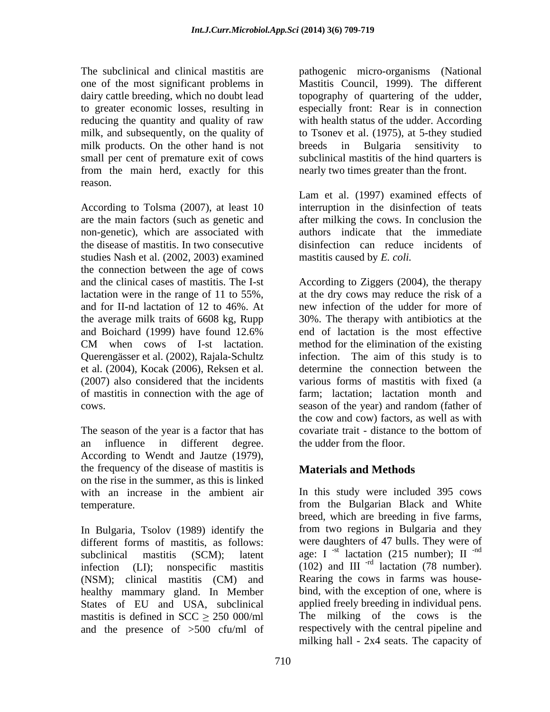milk products. On the other hand is not breeds in Bulgaria sensitivity to small per cent of premature exit of cows from the main herd, exactly for this reason.

According to Tolsma (2007), at least 10 interruption in the disinfection of teats are the main factors (such as genetic and after milking the cows. In conclusion the non-genetic), which are associated with the disease of mastitis. In two consecutive disinfection can reduce incidents of studies Nash et al. (2002, 2003) examined the connection between the age of cows et al. (2004), Kocak (2006), Reksen et al. (2007) also considered that the incidents cows. **Example 2** cows. **COWS** season of the year) and random (father of

The season of the year is a factor that has covariate trait - distance to the bottom of an influence in different degree. According to Wendt and Jautze (1979),<br>the frequency of the disease of mastitis is **Materials and Methods** on the rise in the summer, as this is linked

In Bulgaria, Tsolov (1989) identify the different forms of mastitis, as follows: were daughters of 47 bulls. They were of subclinical mastitis (SCM); latent age: I <sup>-st</sup> lactation (215 number); II <sup>-nd</sup> infection (LI); nonspecific mastitis  $(102)$  and III<sup>-rd</sup> lactation (78 number). (NSM); clinical mastitis (CM) and healthy mammary gland. In Member States of EU and USA, subclinical applied freely breeding in individual pens. mastitis is defined in  $SCC \ge 250 000/ml$ and the presence of >500 cfu/ml of

The subclinical and clinical mastitis are pathogenic micro-organisms (National one of the most significant problems in Mastitis Council, 1999). The different dairy cattle breeding, which no doubt lead topography of quartering of the udder, to greater economic losses, resulting in especially front: Rear is in connection reducing the quantity and quality of raw with health status of the udder. According milk, and subsequently, on the quality of to Tsonev et al. (1975), at 5-they studied breeds in Bulgaria sensitivity to subclinical mastitis of the hind quarters is nearly two times greater than the front.

> Lam et al. (1997) examined effects of authors indicate that the immediate mastitis caused by *E. coli.*

and the clinical cases of mastitis. The I-st According to Ziggers (2004), the therapy lactation were in the range of 11 to 55%, at the dry cows may reduce the risk of a and for II-nd lactation of 12 to 46%. At new infection of the udder for more of the average milk traits of 6608 kg, Rupp 30%. The therapy with antibiotics at the and Boichard (1999) have found 12.6% end of lactation is the most effective CM when cows of I-st lactation. method for the elimination of the existing Querengässer et al. (2002), Rajala-Schultz infection. The aim of this study is to of mastitis in connection with the age of farm; lactation; lactation month and method for the elimination of the existing determine the connection between the various forms of mastitis with fixed (a season of the year) and random (father of the cow and cow) factors, as well as with covariate trait - distance to the bottom of the udder from the floor.

# **Materials and Methods**

with an increase in the ambient air In this study were included 395 cows temperature. from the Bulgarian Black and White breed, which are breeding in five farms, from two regions in Bulgaria and they -nd Rearing the cows in farms was house bind, with the exception of one, where is The milking of the cows is the respectively with the central pipeline and milking hall - 2x4 seats. The capacity of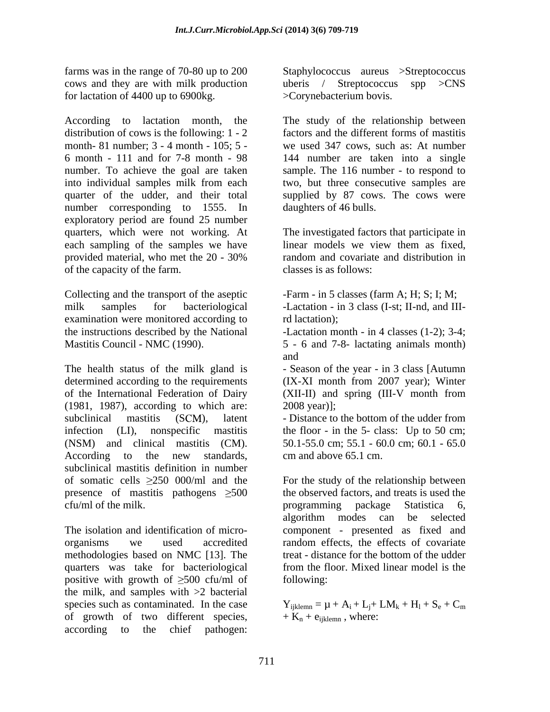for lactation of 4400 up to 6900kg.

According to lactation month, the The study of the relationship between distribution of cows is the following: 1 - 2 month- 81 number; 3 - 4 month - 105; 5 - we used 347 cows, such as: At number 6 month - 111 and for 7-8 month - 98 144 number are taken into a single number. To achieve the goal are taken sample. The 116 number - to respond to into individual samples milk from each two, but three consecutive samples are quarter of the udder, and their total number corresponding to 1555. In daughters of 46 bulls. exploratory period are found 25 number quarters, which were not working. At The investigated factors that participate in each sampling of the samples we have linear models we view them as fixed, provided material, who met the 20 - 30% of the capacity of the farm.

Collecting and the transport of the aseptic -Farm - in 5 classes (farm A; H; S; I; M; milk samples for bacteriological -Lactation - in 3 class (I-st; II-nd, and IIIexamination were monitored according to rd lactation); the instructions described by the National -Lactation month - in 4 classes (1-2); 3-4; Mastitis Council - NMC (1990). 5 - 6 and 7-8- lactating animals month)

The health status of the milk gland is - Season of the year - in 3 class [Autumn determined according to the requirements (IX-XI month from 2007 year); Winter of the International Federation of Dairy (XII-II) and spring (III-V month from (1981, 1987), according to which are: 2008 vear). (1981, 1987), according to which are: (1981, 1987), according to which are: <br>
subclinical mastitis (SCM), latent - Distance to the bottom of the udder from infection (LI), nonspecific mastitis the floor - in the 5- class: Up to 50 cm; (NSM) and clinical mastitis (CM). 50.1-55.0 cm; 55.1 - 60.0 cm; 60.1 - 65.0 According to the new standards, cm and above 65.1 cm. subclinical mastitis definition in number of somatic cells  $\geq$ 250 000/ml and the For the study of the relationship between presence of mastitis pathogens  $\geq 500$ cfu/ml of the milk. The programming package Statistica 6,

The isolation and identification of micro- component - presented as fixed and organisms we used accredited random effects, the effects of covariate methodologies based on NMC [13]. The quarters was take for bacteriological positive with growth of  $\geq 500$  cfu/ml of following: the milk, and samples with >2 bacterial species such as contaminated. In the case  $Y_{ijklemn} = \mu + A_i + L_j + LM_k + H_l + S_e + C_m$ of growth of two different species, according to the chief pathogen:

farms was in the range of 70-80 up to 200 Staphylococcus aureus >Streptococcus cows and they are with milk production uberis / Streptococcus spp >CNS >Corynebacterium bovis.

> factors and the different forms of mastitis supplied by 87 cows. The cows were

daughters of 46 bulls.<br>The investigated factors that participate in linear models we view them as fixed, random and covariate and distribution in

classes is as follows:<br>-Farm - in 5 classes (farm A; H; S; I; M;

rd lactation);

and

(XII-II) and spring (III-V month from

cm and above 65.1 cm.

the observed factors, and treats is used the programming package Statistica 6, algorithm modes can be selected treat - distance for the bottom of the udder from the floor. Mixed linear model is the following:

 $+ S_e + C_m$  $+ K_n + e_{ijklemn}$ , where: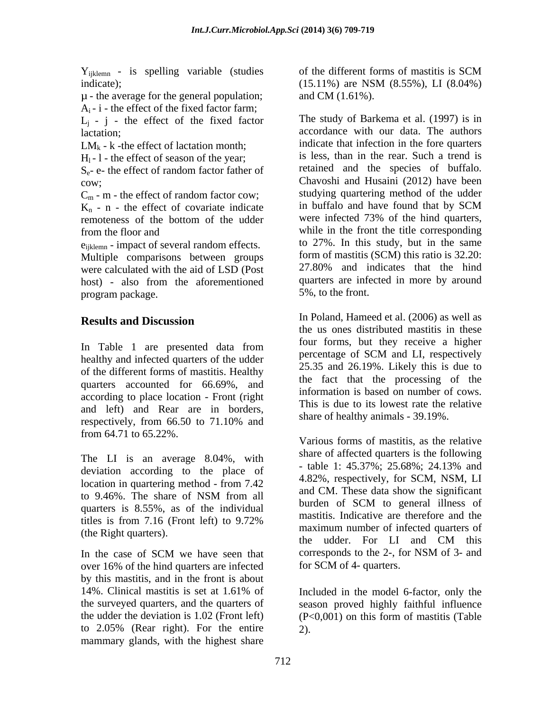Y<sub>ijklemn</sub> - is spelling variable (studies of the different forms of mastitis is SCM indicate); (15.11%) are NSM (8.55%), LI (8.04%)

µ - the average for the general population;  $A_i - i$  - the effect of the fixed factor farm;

 $L_i$  - j - the effect of the fixed factor

 $LM_k$  - k -the effect of lactation month;

 $H<sub>1</sub>$  - 1 - the effect of season of the year;

 $C_m$  - m - the effect of random factor cow;<br>  $K_n$  - n - the effect of covariate indicate in buffalo and have found that by SCM  $K_n$  - n - the effect of covariate indicate<br>remoteness of the bottom of the udder

 $e_{iiklemn}$  - impact of several random effects. Multiple comparisons between groups form of mastitis (SCM) this ratio is 32.20:<br>were calculated with the aid of LSD (Post 27.80%) and indicates that the hind were calculated with the aid of LSD (Post program package.

healthy and infected quarters of the udder<br>and  $\frac{1}{25.25}$  and  $\frac{1}{25.25}$  and  $\frac{1}{25.25}$  and  $\frac{1}{25.25}$  and  $\frac{1}{25.25}$  and  $\frac{1}{25.25}$  and  $\frac{1}{25.25}$  and  $\frac{1}{25.25}$  and  $\frac{1}{25.25}$  and  $\frac{1}{25.25}$ of the different forms of mastitis. Healthy quarters accounted for 66.69%, and according to place location - Front (right and left) and Rear are in borders, respectively, from 66.50 to 71.10% and share of healthy animals - 39.19%. from 64.71 to 65.22%.

The LI is an average  $8.04\%$ , with share of arrected quarters is the following<br>the decision of table 1: 45.37%; 25.68%; 24.13% and deviation according to the place of  $\frac{1}{2}$  burden of SCM to general illness of quarters is 8.55%, as of the individual burden of SCM to general illness of

over 16% of the hind quarters are infected by this mastitis, and in the front is about 14%. Clinical mastitis is set at 1.61% of the surveyed quarters, and the quarters of the udder the deviation is 1.02 (Front left) (P<0,001) on this form of mastitis (Table to  $2.05\%$  (Rear right). For the entire 2). mammary glands, with the highest share

of the different forms of mastitis is SCM (15.11%) are NSM (8.55%), LI (8.04%) and CM (1.61%).

lactation; accordance with our data. The authors  $S_e$ - e- the effect of random factor father of retained and the species of buffalo. cow; Chavoshi and Husaini (2012) have been remoteness of the bottom of the udder were infected 73% of the hind quarters, from the floor and while in the front the title corresponding host) - also from the aforementioned quarters are infected in more by around The study of Barkema et al. (1997) is in indicate that infection in the fore quarters is less, than in the rear. Such a trend is retained and the species of buffalo. studying quartering method of the udder in buffalo and have found that by SCM were infected 73% of the hind quarters, to 27%. In this study, but in the same form of mastitis (SCM) this ratio is 32.20: 27.80% and indicates that the hind quarters are infected in more by around 5%, to the front.

**Results and Discussion results and Discussion results and Discussion results and Discussion** In Table 1 are presented data from the subsection of SCM and H, received in the line In Poland, Hameed et al. (2006) as well as the us ones distributed mastitis in these four forms, but they receive a higher percentage of SCM and LI, respectively 25.35 and 26.19%. Likely this is due to the fact that the processing of the information is based on number of cows. This is due to its lowest rate the relative share of healthy animals - 39.19%.

location in quartering method - from 7.42  $\frac{4.62\%}{1 \text{ GM/T}}$ ,  $\frac{1}{1 \text{ GM/T}}$ ,  $\frac{1}{1 \text{ GM/T}}$ to 9.46%. The share of NSM from all  $\frac{d\mu}{d\mu}$  and CN. These data show the significant titles is from 7.16 (Front left) to  $9.72\%$  and  $\frac{1}{2}$  massius. Indicative are therefore and the (the Right quarters).<br>the udder. For LI and CM this In the case of SCM we have seen that corresponds to the 2-, for NSM of 3- and Various forms of mastitis, as the relative share of affected quarters is the following - table 1: 45.37%; 25.68%; 24.13% and 4.82%, respectively, for SCM, NSM, LI and CM. These data show the significant burden of SCM to general illness of mastitis. Indicative are therefore and the maximum number of infected quarters of the udder. For LI and CM this corresponds to the 2-, for NSM of 3- and for SCM of 4- quarters.

> Included in the model 6-factor, only the season proved highly faithful influence 2).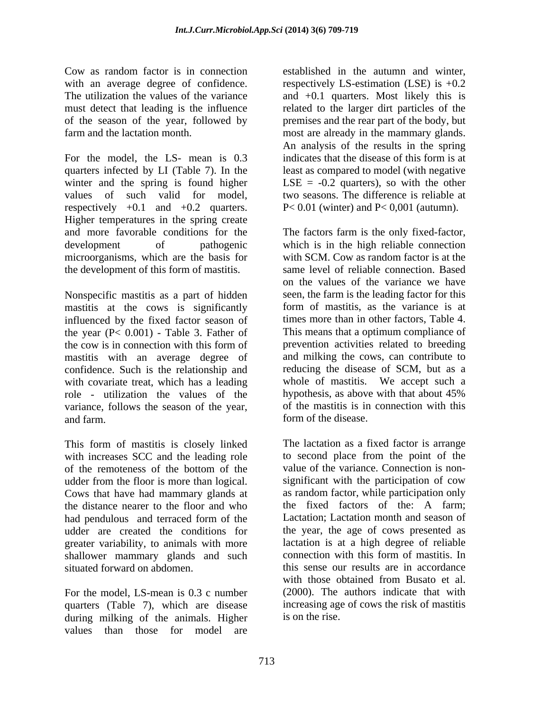For the model, the LS- mean is 0.3 indicates that the disease of this form is at quarters infected by LI (Table 7). In the least as compared to model (with negative winter and the spring is found higher values of such valid for model, respectively  $+0.1$  and  $+0.2$  quarters. Higher temperatures in the spring create and more favorable conditions for the The factors farm is the only fixed-factor, development of pathogenic which is in the high reliable connection microorganisms, which are the basis for the development of this form of mastitis.

Nonspecific mastitis as a part of hidden<br>mastitis at the cows is significantly form of mastitis, as the variance is at mastitis at the cows is significantly influenced by the fixed factor season of the year (P< 0.001) - Table 3. Father of the cow is in connection with this form of prevention activities related to breeding mastitis with an average degree of and milking the cows, can contribute to confidence. Such is the relationship and with covariate treat, which has a leading whole of mastitis. We accept such a role - utilization the values of the hypothesis, as above with that about 45% variance, follows the season of the year, and farm. form of the disease.

This form of mastitis is closely linked<br>The lactation as a fixed factor is arrange<br>with increases SCC and the leading role<br>to second place from the point of the with increases SCC and the leading role of the remoteness of the bottom of the value of the variance. Connection is nonudder from the floor is more than logical. Cows that have had mammary glands at the distance nearer to the floor and who had pendulous and terraced form of the Lactation; Lactation month and season of udder are created the conditions for the year, the age of cows presented as greater variability, to animals with more<br>shallower mammary glands and such connection with this form of mastitis. In shallower mammary glands and such situated forward on abdomen. this sense our results are in accordance

For the model, LS-mean is 0.3 c number quarters (Table 7), which are disease during milking of the animals. Higher values than those for model are

Cow as random factor is in connection with an average degree of confidence. respectively LS-estimation (LSE) is  $+0.2$ The utilization the values of the variance and +0.1 quarters. Most likely this is must detect that leading is the influence a related to the larger dirt particles of the of the season of the year, followed by premises and the rear part of the body, but farm and the lactation month. most are already in the mammary glands. established in the autumn and winter, An analysis of the results in the spring indicates that the disease of this form is at LSE  $= -0.2$  quarters), so with the other two seasons. The difference is reliable at P< 0.01 (winter) and P< 0,001 (autumn).

> with SCM. Cow as random factor is at the same level of reliable connection. Based on the values of the variance we have seen, the farm is the leading factor for this form of mastitis, as the variance is at times more than in other factors, Table 4. This means that a optimum compliance of prevention activities related to breeding reducing the disease of SCM, but as a hypothesis, as above with that about 45% of the mastitis is in connection with this

The lactation as a fixed factor is arrange to second place from the point of the value of the variance. Connection is non significant with the participation of cow as random factor, while participation only the fixed factors of the: A farm; Lactation; Lactation month and season of lactation is at a high degree of reliable connection with this form of mastitis. In with those obtained from Busato et al. (2000). The authors indicate that with increasing age of cows the risk of mastitis is on the rise.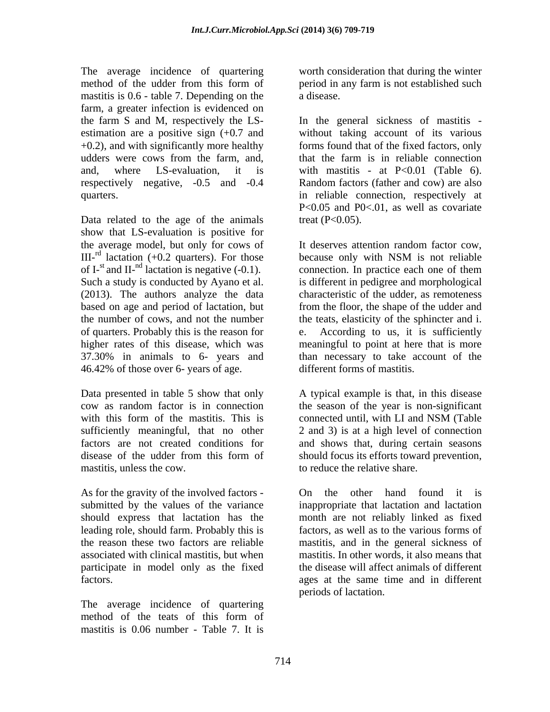The average incidence of quartering method of the udder from this form of period in any farm is not established such mastitis is 0.6 - table 7. Depending on the a disease. farm, a greater infection is evidenced on estimation are a positive sign (+0.7 and respectively negative, -0.5 and -0.4

Data related to the age of the animals show that LS-evaluation is positive for the average model, but only for cows of It deserves attention random factor cow, of I-st and II-<sup>nd</sup> lactation is negative  $(-0.1)$ . connection. In practice each one of them (2013). The authors analyze the data based on age and period of lactation, but of quarters. Probably this is the reason for 46.42% of those over 6- years of age.

with this form of the mastitis. This is connected until, with LI and NSM (Table mastitis, unless the cow. to reduce the relative share.

submitted by the values of the variance leading role, should farm. Probably this is participate in model only as the fixed

The average incidence of quartering method of the teats of this form of mastitis is 0.06 number - Table 7. It is

worth consideration that during the winter period in any farm is not established such a disease.

the farm S and M, respectively the LS- In the general sickness of mastitis - +0.2), and with significantly more healthy forms found that of the fixed factors, only udders were cows from the farm, and, and, where LS-evaluation, it is with mastitis - at P<0.01 (Table 6). quarters. in reliable connection, respectively at without taking account of its various that the farm is in reliable connection Random factors (father and cow) are also P<0.05 and P0<.01, as well as covariate treat  $(P<0.05)$ .

 $III$ -<sup>rd</sup> lactation (+0.2 quarters). For those because only with NSM is not reliable Such a study is conducted by Ayano et al. is different in pedigree and morphological the number of cows, and not the number the teats, elasticity of the sphincter and i. higher rates of this disease, which was meaningful to point at here that is more 37.30% in animals to 6- years and than necessary to take account of the It deserves attention random factor cow, because only with NSM is not reliable connection. In practice each one of them characteristic of the udder, as remoteness from the floor, the shape of the udder and According to us, it is sufficiently different forms of mastitis.

Data presented in table 5 show that only A typical example is that, in this disease cow as random factor is in connection theseason of the year is non-significant sufficiently meaningful, that no other 2 and 3) is at a high level of connection factors are not created conditions for and shows that, during certain seasons disease of the udder from this form of should focus its efforts toward prevention, connected until, with LI and NSM (Table should focus its efforts toward prevention,

As for the gravity of the involved factors - On the other hand found it is should express that lactation has the month are not reliably linked as fixed the reason these two factors are reliable mastitis, and in the general sickness of associated with clinical mastitis, but when mastitis. In other words, it also means that factors. ages at the same time and in different On the other hand found it is inappropriate that lactation and lactation factors, as well as to the various forms of the disease will affect animals of different periods of lactation.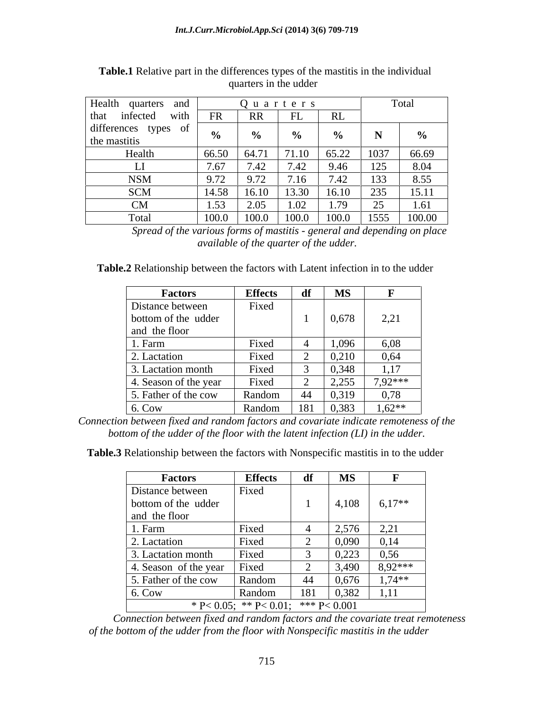| Health quarters and               |       |                       | Quarters         |       | Total                   |                          |
|-----------------------------------|-------|-----------------------|------------------|-------|-------------------------|--------------------------|
| that<br>infected                  | with  |                       |                  |       |                         |                          |
| differences types<br>the mastitis |       |                       |                  |       | $\sim$ $\sim$           | $\overline{\phantom{a}}$ |
| Health                            | 66.50 | 64.71                 | $71.10 \t 65.22$ | 03.22 | $1037$                  | 66.69                    |
| $\mathbf{L}$                      | 7.67  | $\sqrt{2}$ $\sqrt{2}$ | 7.40             | 0.17  | $1 \cap 5$<br>12J       | 8.04                     |
| <b>NSM</b>                        | 9.72  | 0.70<br>7.7∠          | $-1$             |       | $\overline{a}$<br>1 J J | 8.55                     |
| SCM                               | 14.58 | 16.10                 | $13.30$ 16.10    |       | $\Omega$<br>ل ل∠        | 15.11                    |
| - CM -                            | -1.53 | 2. U D                |                  |       |                         | 1.61                     |
| Total                             | 100.0 | 100.0                 | 100.0            | 100.0 |                         | $1555$ 100.00            |

**Table.1** Relative part in the differences types of the mastitis in the individual quarters in the udder

*Spread of the various forms of mastitis - general and depending on place available of the quarter of the udder.*

**Table.2** Relationship between the factors with Latent infection in to the udder

| <b>Factors</b>        | <b>Effects</b> |             | <b>MS</b> |              |
|-----------------------|----------------|-------------|-----------|--------------|
| Distance between      | Fixed          |             |           |              |
| bottom of the udder   |                |             | 0,678     | 221<br>2, 21 |
| and the floor         |                |             |           |              |
| 1. Farm               | Fixed          |             | 1,096     | 6,08         |
| 2. Lactation          | Fixed          |             | 0,210     | 0,64         |
| 3. Lactation month    | Fixed          |             | 0,348     | 1,17         |
| 4. Season of the year | Fixed          |             | 2,255     | 7,92***      |
| 5. Father of the cow  | Random         |             | 0,319     | 0,78         |
| 6. Cow                | Random         | $\vert$ 181 | 0,383     | $1,62**$     |

*Connection between fixed and random factors and covariate indicate remoteness of the bottom of the udder of the floor with the latent infection (LI) in the udder.*

**Table.3** Relationship between the factors with Nonspecific mastitis in to the udder

| Factors               | <b>Effects</b>                         | df  | <b>MS</b> |           |
|-----------------------|----------------------------------------|-----|-----------|-----------|
| Distance between      | Fixed                                  |     |           |           |
| bottom of the udder   |                                        |     | 4,108     | $6,17**$  |
| and the floor         |                                        |     |           |           |
| 1. Farm               | Fixed                                  |     | 2,576     | 2,21      |
| 2. Lactation          | Fixed                                  |     | 0,090     | 0,14      |
| 3. Lactation month    | Fixed                                  |     | 0,223     | 0,56      |
| 4. Season of the year | Fixed                                  |     | 3,490     | $8,92***$ |
| 5. Father of the cow  | Random                                 | 44  | 0,676     | $1,74***$ |
| 6. Cow                | Random                                 | 181 | 0,382     | 1,11      |
|                       | * P < 0.05; ** P < 0.01; *** P < 0.001 |     |           |           |

*Connection between fixed and random factors and the covariate treat remoteness of the bottom of the udder from the floor with Nonspecific mastitis in the udder*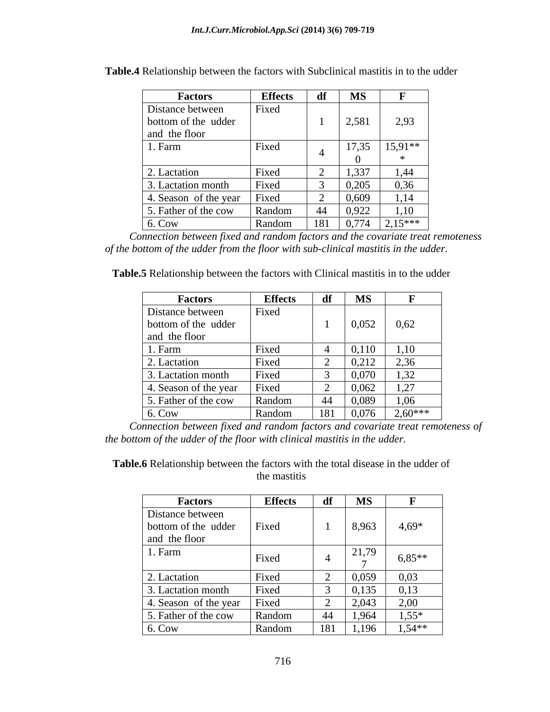| <b>Factors</b>              | <b>Effects</b> | df  | <b>MS</b> |                                   |
|-----------------------------|----------------|-----|-----------|-----------------------------------|
| Distance between            | Fixed          |     |           |                                   |
| bottom of the udder         |                |     | 2,581     | 2,93                              |
| and the floor               |                |     |           |                                   |
| 1. Farm                     | Fixed          |     | 17,35     | $15,91**$                         |
|                             |                |     |           |                                   |
| 2. Lactation                | Fixed          |     | 1,337     | 1,44                              |
| 3. Lactation month          | Fixed          |     | 0,205     | 0,36                              |
| 4. Season of the year Fixed |                |     | 0,609     | 1,14                              |
| 5. Father of the cow        | Random         |     | 0,922     | 1,10                              |
| 6. Cow                      | Random         | 181 |           | $\boxed{0,774}$ $\boxed{2,15***}$ |

**Table.4** Relationship between the factors with Subclinical mastitis in to the udder

*Connection between fixed and random factors and the covariate treat remoteness of the bottom of the udder from the floor with sub-clinical mastitis in the udder.*

**Table.5** Relationship between the factors with Clinical mastitis in to the udder

| <b>Factors</b>        | <b>Effects</b> | df   | <b>MS</b>      |           |
|-----------------------|----------------|------|----------------|-----------|
| Distance between      | Fixed          |      |                |           |
| bottom of the udder   |                |      | 0,052          | 0,62      |
| and the floor         |                |      |                |           |
| 1. Farm               | Fixed          |      | 0,110          | 1,10      |
| 2. Lactation          | Fixed          |      | 0,212          | 2,36      |
| 3. Lactation month    | Fixed          |      | 0.070<br>0,070 | 1,32      |
| 4. Season of the year | Fixed          |      | 0,062          | 1,27      |
| 5. Father of the cow  | Random         | - 44 | 0,089          | 1,06      |
| 6. Cow                | Random         | 181  | 0,076          | $2,60***$ |

*Connection between fixed and random factors and covariate treat remoteness of the bottom of the udder of the floor with clinical mastitis in the udder.* 

**Table.6** Relationship between the factors with the total disease in the udder of the mastitis

| <b>Factors</b>              | <b>Effects</b> | df                       | <b>MS</b> |           |
|-----------------------------|----------------|--------------------------|-----------|-----------|
| Distance between            |                |                          |           |           |
| bottom of the udder         | Fixed          |                          | 8,963     | $4,69*$   |
| and the floor               |                |                          |           |           |
| 1. Farm                     | Fixed          |                          | 21,79     | $6,85***$ |
|                             |                |                          |           |           |
| 2. Lactation                | Fixed          | $\overline{\phantom{0}}$ | 0,059     | 0,03      |
| 3. Lactation month          | Fixed          |                          | 0,135     | 0,13      |
| 4. Season of the year Fixed |                | $\overline{\phantom{0}}$ | 2,043     | 2,00      |
| 5. Father of the cow        | Random         | 44                       | 1,964     | $1,55*$   |
| 6. Cow                      | Random         | 181                      | 1.196     | $1,54**$  |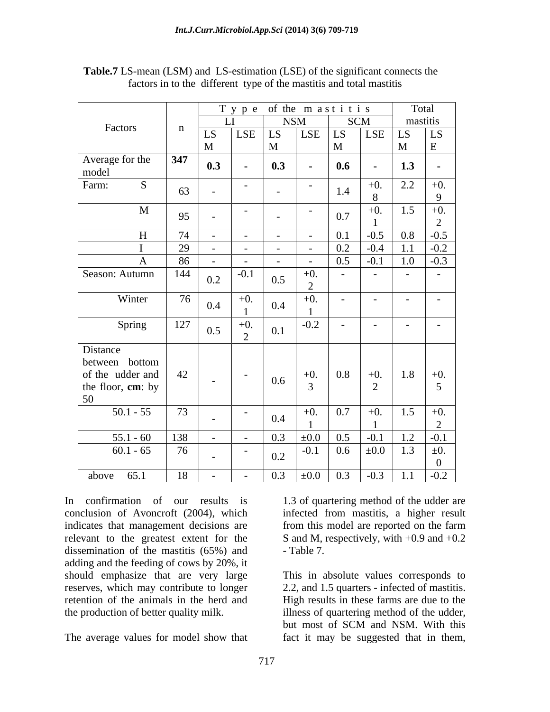|                                                                     |             |                                                   | Type of the mastitis                                                                                      |                           |                                                                                   |                      | Total                |  |  |  |  |  |  |  |  |  |  |
|---------------------------------------------------------------------|-------------|---------------------------------------------------|-----------------------------------------------------------------------------------------------------------|---------------------------|-----------------------------------------------------------------------------------|----------------------|----------------------|--|--|--|--|--|--|--|--|--|--|
| Factors                                                             | $\mathbf n$ |                                                   | <b>NSM</b>                                                                                                |                           | SCM                                                                               |                      | mastitis             |  |  |  |  |  |  |  |  |  |  |
|                                                                     |             | LS                                                | $\sqrt{\text{LSE}}$   LS                                                                                  | LSE                       | $\vert$ LS $\vert$ LSE $\vert$ LS                                                 |                      | $\vert$ LS           |  |  |  |  |  |  |  |  |  |  |
|                                                                     |             | $\mathbf{M}$                                      | M                                                                                                         |                           | M                                                                                 |                      |                      |  |  |  |  |  |  |  |  |  |  |
| Average for the<br>model                                            | $347$       | 0.3<br>$\sim 10^{-11}$                            | $\begin{array}{ c c } \hline 0.3 \\ \hline \end{array}$                                                   | <b>Contract Contract</b>  | $\begin{array}{ c c c c c } \hline 0.6 & - & \ \end{array}$                       | $\vert$ 1.3          | $\sim$               |  |  |  |  |  |  |  |  |  |  |
| Farm:                                                               | 63          | $\sim$<br>$\sim 100$ m $^{-1}$                    |                                                                                                           | $\sim$ 100 $\sim$         | $+0.$<br>1.4                                                                      | $\boxed{2.2}$        | $+0.$<br>$\Omega$    |  |  |  |  |  |  |  |  |  |  |
| M                                                                   | 95          | $\sim$ $-$<br>$\sim$ 100 $\sim$                   | $\sim$ 100 $\sim$                                                                                         | $\sim$ $ \sim$ $ \sim$    | $+0.$<br>0.7                                                                      |                      | $1.5 + 0.$<br>$\sim$ |  |  |  |  |  |  |  |  |  |  |
| H                                                                   | 74          | $\sim$ $-$                                        | $\sim$                                                                                                    | $\sim 100$                | $0.1$ -0.5 0.8                                                                    |                      | $-0.5$               |  |  |  |  |  |  |  |  |  |  |
|                                                                     | 29          | $\sim 100$                                        | $\sim$ 100 $\sim$                                                                                         | $\sim 10^{-10}$ m $^{-1}$ | $\begin{array}{ c c c c c c c c c } \hline 0.2 & -0.4 & 1.1 \ \hline \end{array}$ |                      | $\boxed{-0.2}$       |  |  |  |  |  |  |  |  |  |  |
|                                                                     | 86          | $\sim$ $-$                                        |                                                                                                           | $\sim$ $\sim$             | $0.5$ -0.1                                                                        | 1.0                  | $-0.3$               |  |  |  |  |  |  |  |  |  |  |
| Season: Autumn                                                      | 144         | $-0.1$<br>0.2                                     | 0.5                                                                                                       | $+0.$                     | $\sim$ $-$<br><b>Contract Contract</b>                                            | $\sim 100$ m $^{-1}$ | $\sim$ 100 $\sim$    |  |  |  |  |  |  |  |  |  |  |
| Winter                                                              | 76          | $+0.$<br>0.4                                      | $\boxed{0.4}$                                                                                             | $+0.$                     | $\sim$ $-$<br><b>Contract Contract</b>                                            | $\sim$ 100 $\sim$    |                      |  |  |  |  |  |  |  |  |  |  |
| Spring                                                              | 127         | $+0.$<br>0.5                                      | $\boxed{0.1}$                                                                                             | $-0.2$                    | <b>Common</b><br>$\sim$ 100 $\sim$                                                | $\sim 100$ m $^{-1}$ | $\sim$ $-$           |  |  |  |  |  |  |  |  |  |  |
| Distance<br>between bottom<br>of the udder and<br>the floor, cm: by | 42          | $\sim 10^{-10}$ m $^{-1}$<br>$\sim 100$ m $^{-1}$ | $\begin{array}{ c c c c c } \hline 0.6 & \end{array}$                                                     |                           | $+0.$ 0.8 +0. 1.8 +0.                                                             |                      |                      |  |  |  |  |  |  |  |  |  |  |
| 50                                                                  |             |                                                   |                                                                                                           |                           |                                                                                   |                      |                      |  |  |  |  |  |  |  |  |  |  |
| $50.1 - 55$                                                         | 73          | $\sim$ $-$                                        | 0.4                                                                                                       |                           | $+0.$ $\boxed{0.7}$ $+0.$ $\boxed{1.5}$ $+0.$                                     |                      |                      |  |  |  |  |  |  |  |  |  |  |
| $55.1 - 60$                                                         | 138         | $\sim 100$ m $^{-1}$                              |                                                                                                           |                           |                                                                                   |                      |                      |  |  |  |  |  |  |  |  |  |  |
| $60.1 - 65$                                                         | 76          | $\sim$ $-$                                        | $-$ 0.3 $\pm 0.0$ 0.5 $-0.1$ 1.2 $-0.1$<br>$-$ 0.2 $-0.1$ 0.6 $\pm 0.0$ 1.3 $\pm 0.$<br>$\vert 0.2 \vert$ |                           |                                                                                   |                      |                      |  |  |  |  |  |  |  |  |  |  |
| above $65.1$                                                        | 18          | $\sim 100$ m $^{-1}$                              | $-$ 0.3 $\pm 0.0$ 0.3 $-0.3$ 1.1 $-0.2$                                                                   |                           |                                                                                   |                      |                      |  |  |  |  |  |  |  |  |  |  |

 **Table.7** LS-mean (LSM) and LS-estimation (LSE) of the significant connects the factors in to the different type of the mastitis and total mastitis

In confirmation of our results is 1.3 of quartering method of the udder are conclusion of Avoncroft (2004), which indicates that management decisions are from this model are reported on the farm relevant to the greatest extent for the S and M, respectively, with  $+0.9$  and  $+0.2$ dissemination of the mastitis (65%) and - Table 7. adding and the feeding of cows by 20%, it<br>should emphasize that are very large should emphasize that are very large This in absolute values corresponds to reserves, which may contribute to longer<br>retention of the animals in the herd and retention of the animals in the herd and High results in these farms are due to the

infected from mastitis, a higher result from this model are reported on the farm - Table 7.

the production of better quality milk. illness of quartering method of the udder, The average values for model show that fact it may be suggested that in them,2.2, and 1.5 quarters - infected of mastitis. but most of SCM and NSM. With this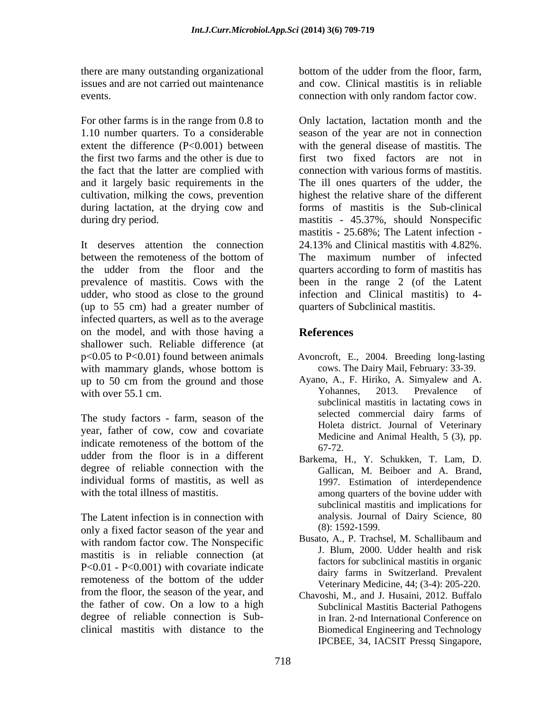there are many outstanding organizational issues and are not carried out maintenance events. connection with only random factor cow.

For other farms is in the range from 0.8 to 1.10 number quarters. To a considerable extent the difference (P<0.001) between and it largely basic requirements in the during lactation, at the drying cow and

It deserves attention the connection 24.13% and Clinical mastitis with 4.82% (up to 55 cm) had a greater number of infected quarters, as well as to the average on the model, and with those having a shallower such. Reliable difference (at with mammary glands, whose bottom is<br>
up to 50 cm from the ground and those<br>
Ayano, A., F. Hiriko, A. Simyalew and A. up to 50 cm from the ground and those Ayano, A., F. Hiriko, A. Simyalew and A.<br>
Yohannes, 2013. Prevalence of with over 55.1 cm.

The study factors - farm, season of the year, father of cow, cow and covariate indicate remoteness of the bottom of the  $67-72$ udder from the floor is in a different  $R$ <sub>arkema</sub>  $H Y$  Schukken T I am D degree of reliable connection with the individual forms of mastitis, as well as

The Latent infection is in connection with  $\frac{1}{2}$  analysis. Journal analysis. To the vear and  $\frac{1}{2}$  (8): 1592-1599. only a fixed factor season of the year and<br>with rendom feator cow. The Noneneeifie Busato, A., P. Trachsel, M. Schallibaum and with random factor cow. The Nonspecific mastitis is in reliable connection (at P<0.01 - P<0.001) with covariate indicate remoteness of the bottom of the udder<br>Veterinary Medicine  $A(t, 2A)$ : 205-220 from the floor, the season of the year, and the father of cow. On a low to a high degree of reliable connection is Sub- in Iran. 2-nd International Conference on

bottom of the udder from the floor, farm, and cow. Clinical mastitis is in reliable

the first two farms and the other is due to first two fixed factors are not in the fact that the latter are complied with connection with various forms of mastitis. cultivation, milking the cows, prevention highest the relative share of the different during dry period. mastitis - 45.37%, should Nonspecific between the remoteness of the bottom of The maximum number of infected the udder from the floor and the quarters according to form of mastitis has prevalence of mastitis. Cows with the been in the range 2 (of the Latent udder, who stood as close to the ground infection and Clinical mastitis) to 4- Only lactation, lactation month and the season of the year are not in connection with the general disease of mastitis. The The ill ones quarters of the udder, the forms of mastitis is the Sub-clinical mastitis - 25.68%; The Latent infection - 24.13% and Clinical mastitis with 4.82%. The maximum number of infected quarters of Subclinical mastitis.

# **References**

- p<0.05 to P<0.01) found between animals Avoncroft, E., 2004. Breeding long-lasting
	- cows. The Dairy Mail, February: 33-39. Ayano, A., F. Hiriko, A. Simyalew and A. Yohannes, 2013. Prevalence of subclinical mastitis in lactating cows in selected commercial dairy farms of Holeta district. Journal of Veterinary Medicine and Animal Health, 5 (3), pp. 67-72.
- with the total illness of mastitis. The among quarters of the bovine udder with Barkema, H., Y. Schukken, T. Lam, D. Gallican, M. Beiboer and A. Brand, 1997. Estimation of interdependence subclinical mastitis and implications for analysis. Journal of Dairy Science, 80 (8): 1592-1599.
	- Busato, A., P. Trachsel, M. Schallibaum and J. Blum, 2000. Udder health and risk factors for subclinical mastitis in organic dairy farms in Switzerland. Prevalent Veterinary Medicine, 44; (3-4): 205-220.
- clinical mastitis with distance to the Biomedical Engineering and Technology Chavoshi, M., and J. Husaini, 2012. Buffalo Subclinical Mastitis Bacterial Pathogens IPCBEE, 34, IACSIT Pressq Singapore,